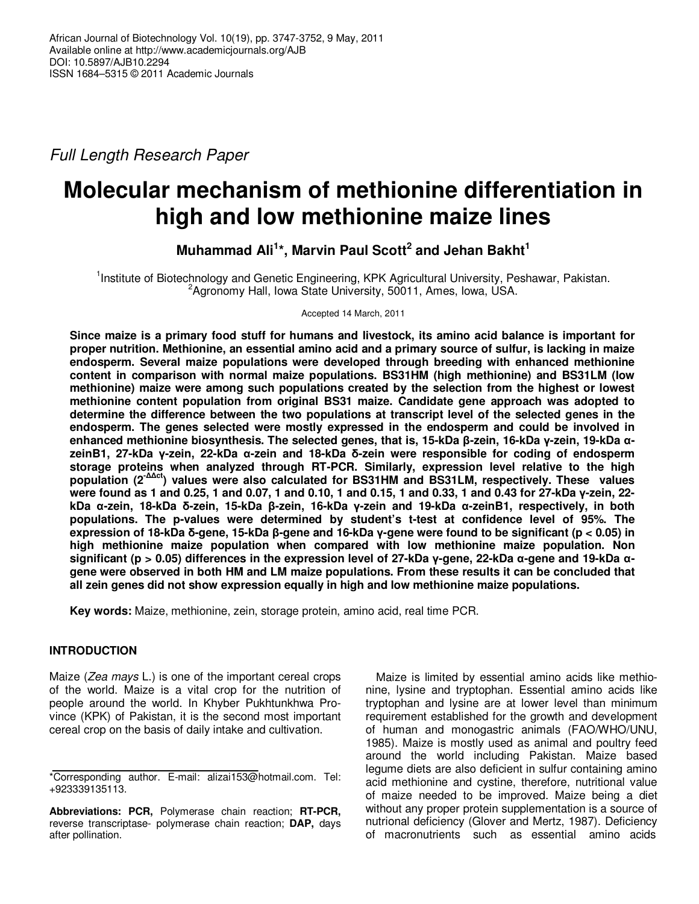Full Length Research Paper

# **Molecular mechanism of methionine differentiation in high and low methionine maize lines**

**Muhammad Ali<sup>1</sup> \*, Marvin Paul Scott<sup>2</sup> and Jehan Bakht<sup>1</sup>**

<sup>1</sup>Institute of Biotechnology and Genetic Engineering, KPK Agricultural University, Peshawar, Pakistan. <sup>2</sup> Agronomy Hall, Iowa State University, 50011, Ames, Iowa, USA.

Accepted 14 March, 2011

**Since maize is a primary food stuff for humans and livestock, its amino acid balance is important for proper nutrition. Methionine, an essential amino acid and a primary source of sulfur, is lacking in maize endosperm. Several maize populations were developed through breeding with enhanced methionine content in comparison with normal maize populations. BS31HM (high methionine) and BS31LM (low methionine) maize were among such populations created by the selection from the highest or lowest methionine content population from original BS31 maize. Candidate gene approach was adopted to determine the difference between the two populations at transcript level of the selected genes in the endosperm. The genes selected were mostly expressed in the endosperm and could be involved in enhanced methionine biosynthesis. The selected genes, that is, 15-kDa β-zein, 16-kDa γ-zein, 19-kDa αzeinB1, 27-kDa γ-zein, 22-kDa α-zein and 18-kDa δ-zein were responsible for coding of endosperm storage proteins when analyzed through RT-PCR. Similarly, expression level relative to the high population (2-∆∆ct) values were also calculated for BS31HM and BS31LM, respectively. These values were found as 1 and 0.25, 1 and 0.07, 1 and 0.10, 1 and 0.15, 1 and 0.33, 1 and 0.43 for 27-kDa γ-zein, 22 kDa α-zein, 18-kDa δ-zein, 15-kDa β-zein, 16-kDa γ-zein and 19-kDa α-zeinB1, respectively, in both populations. The p-values were determined by student's t-test at confidence level of 95%. The expression of 18-kDa δ-gene, 15-kDa β-gene and 16-kDa γ-gene were found to be significant (p < 0.05) in high methionine maize population when compared with low methionine maize population. Non significant (p > 0.05) differences in the expression level of 27-kDa γ-gene, 22-kDa α-gene and 19-kDa αgene were observed in both HM and LM maize populations. From these results it can be concluded that all zein genes did not show expression equally in high and low methionine maize populations.** 

**Key words:** Maize, methionine, zein, storage protein, amino acid, real time PCR.

# **INTRODUCTION**

Maize (Zea mays L.) is one of the important cereal crops of the world. Maize is a vital crop for the nutrition of people around the world. In Khyber Pukhtunkhwa Province (KPK) of Pakistan, it is the second most important cereal crop on the basis of daily intake and cultivation.

Maize is limited by essential amino acids like methionine, lysine and tryptophan. Essential amino acids like tryptophan and lysine are at lower level than minimum requirement established for the growth and development of human and monogastric animals (FAO/WHO/UNU, 1985). Maize is mostly used as animal and poultry feed around the world including Pakistan. Maize based legume diets are also deficient in sulfur containing amino acid methionine and cystine, therefore, nutritional value of maize needed to be improved. Maize being a diet without any proper protein supplementation is a source of nutrional deficiency (Glover and Mertz, 1987). Deficiency of macronutrients such as essential amino acids

<sup>\*</sup>Corresponding author. E-mail: alizai153@hotmail.com. Tel: +923339135113.

**Abbreviations: PCR,** Polymerase chain reaction; **RT-PCR,** reverse transcriptase- polymerase chain reaction; **DAP,** days after pollination.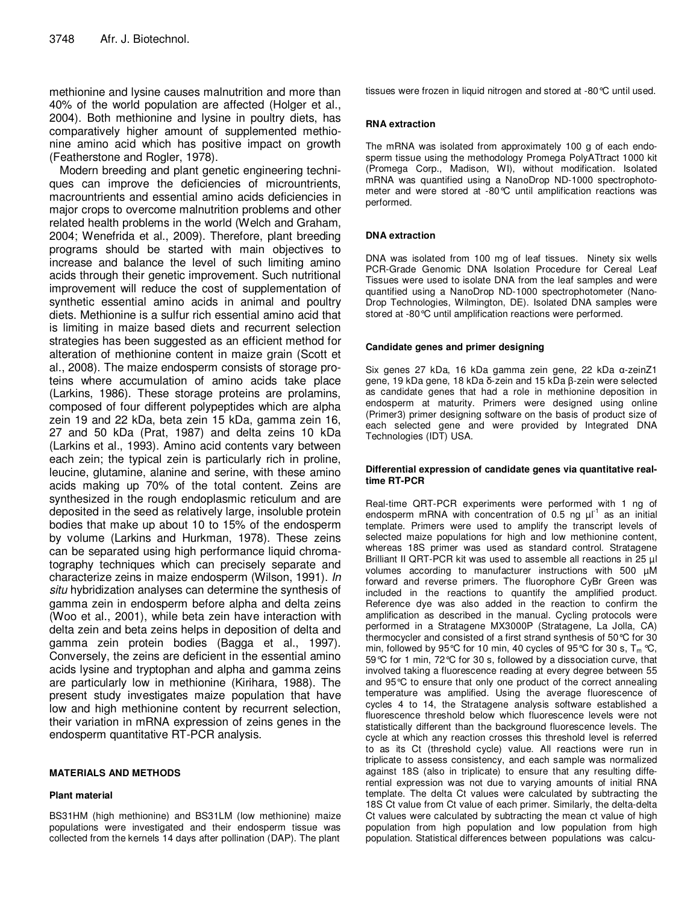methionine and lysine causes malnutrition and more than 40% of the world population are affected (Holger et al., 2004). Both methionine and lysine in poultry diets, has comparatively higher amount of supplemented methionine amino acid which has positive impact on growth (Featherstone and Rogler, 1978).

Modern breeding and plant genetic engineering techniques can improve the deficiencies of micrountrients, macrountrients and essential amino acids deficiencies in major crops to overcome malnutrition problems and other related health problems in the world (Welch and Graham, 2004; Wenefrida et al., 2009). Therefore, plant breeding programs should be started with main objectives to increase and balance the level of such limiting amino acids through their genetic improvement. Such nutritional improvement will reduce the cost of supplementation of synthetic essential amino acids in animal and poultry diets. Methionine is a sulfur rich essential amino acid that is limiting in maize based diets and recurrent selection strategies has been suggested as an efficient method for alteration of methionine content in maize grain (Scott et al., 2008). The maize endosperm consists of storage proteins where accumulation of amino acids take place (Larkins, 1986). These storage proteins are prolamins, composed of four different polypeptides which are alpha zein 19 and 22 kDa, beta zein 15 kDa, gamma zein 16, 27 and 50 kDa (Prat, 1987) and delta zeins 10 kDa (Larkins et al., 1993). Amino acid contents vary between each zein; the typical zein is particularly rich in proline, leucine, glutamine, alanine and serine, with these amino acids making up 70% of the total content. Zeins are synthesized in the rough endoplasmic reticulum and are deposited in the seed as relatively large, insoluble protein bodies that make up about 10 to 15% of the endosperm by volume (Larkins and Hurkman, 1978). These zeins can be separated using high performance liquid chromatography techniques which can precisely separate and characterize zeins in maize endosperm (Wilson, 1991). In situ hybridization analyses can determine the synthesis of gamma zein in endosperm before alpha and delta zeins (Woo et al., 2001), while beta zein have interaction with delta zein and beta zeins helps in deposition of delta and gamma zein protein bodies (Bagga et al., 1997). Conversely, the zeins are deficient in the essential amino acids lysine and tryptophan and alpha and gamma zeins are particularly low in methionine (Kirihara, 1988). The present study investigates maize population that have low and high methionine content by recurrent selection, their variation in mRNA expression of zeins genes in the endosperm quantitative RT-PCR analysis.

## **MATERIALS AND METHODS**

## **Plant material**

BS31HM (high methionine) and BS31LM (low methionine) maize populations were investigated and their endosperm tissue was collected from the kernels 14 days after pollination (DAP). The plant tissues were frozen in liquid nitrogen and stored at -80°C until used.

#### **RNA extraction**

The mRNA was isolated from approximately 100 g of each endosperm tissue using the methodology Promega PolyATtract 1000 kit (Promega Corp., Madison, WI), without modification. Isolated mRNA was quantified using a NanoDrop ND-1000 spectrophotometer and were stored at -80°C until amplification reactions was performed.

#### **DNA extraction**

DNA was isolated from 100 mg of leaf tissues. Ninety six wells PCR-Grade Genomic DNA Isolation Procedure for Cereal Leaf Tissues were used to isolate DNA from the leaf samples and were quantified using a NanoDrop ND-1000 spectrophotometer (Nano-Drop Technologies, Wilmington, DE). Isolated DNA samples were stored at -80°C until amplification reactions were performed.

#### **Candidate genes and primer designing**

Six genes 27 kDa, 16 kDa gamma zein gene, 22 kDa α-zeinZ1 gene, 19 kDa gene, 18 kDa δ-zein and 15 kDa β-zein were selected as candidate genes that had a role in methionine deposition in endosperm at maturity. Primers were designed using online (Primer3) primer designing software on the basis of product size of each selected gene and were provided by Integrated DNA Technologies (IDT) USA.

#### **Differential expression of candidate genes via quantitative realtime RT-PCR**

Real-time QRT-PCR experiments were performed with 1 ng of endosperm mRNA with concentration of 0.5 ng  $\mu$ <sup>1</sup> as an initial template. Primers were used to amplify the transcript levels of selected maize populations for high and low methionine content, whereas 18S primer was used as standard control. Stratagene Brilliant II QRT-PCR kit was used to assemble all reactions in 25 µl volumes according to manufacturer instructions with 500  $\mu$ M forward and reverse primers. The fluorophore CyBr Green was included in the reactions to quantify the amplified product. Reference dye was also added in the reaction to confirm the amplification as described in the manual. Cycling protocols were performed in a Stratagene MX3000P (Stratagene, La Jolla, CA) thermocycler and consisted of a first strand synthesis of 50°C for 30 min, followed by 95°C for 10 min, 40 cycles of 95°C for 30 s,  $T_m$ °C, 59°C for 1 min, 72°C for 30 s, followed by a dissociation curve, that involved taking a fluorescence reading at every degree between 55 and 95°C to ensure that only one product of the correct annealing temperature was amplified. Using the average fluorescence of cycles 4 to 14, the Stratagene analysis software established a fluorescence threshold below which fluorescence levels were not statistically different than the background fluorescence levels. The cycle at which any reaction crosses this threshold level is referred to as its Ct (threshold cycle) value. All reactions were run in triplicate to assess consistency, and each sample was normalized against 18S (also in triplicate) to ensure that any resulting differential expression was not due to varying amounts of initial RNA template. The delta Ct values were calculated by subtracting the 18S Ct value from Ct value of each primer. Similarly, the delta-delta Ct values were calculated by subtracting the mean ct value of high population from high population and low population from high population. Statistical differences between populations was calcu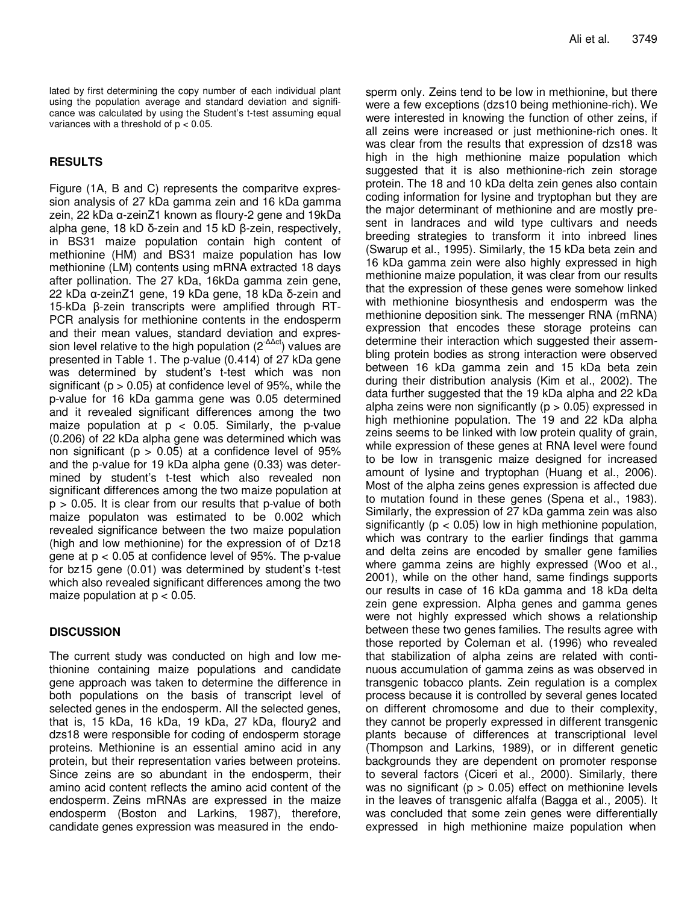lated by first determining the copy number of each individual plant using the population average and standard deviation and significance was calculated by using the Student's t-test assuming equal variances with a threshold of  $p < 0.05$ .

# **RESULTS**

Figure (1A, B and C) represents the comparitve expression analysis of 27 kDa gamma zein and 16 kDa gamma zein, 22 kDa α-zeinZ1 known as floury-2 gene and 19kDa alpha gene, 18 kD δ-zein and 15 kD β-zein, respectively, in BS31 maize population contain high content of methionine (HM) and BS31 maize population has low methionine (LM) contents using mRNA extracted 18 days after pollination. The 27 kDa, 16kDa gamma zein gene, 22 kDa α-zeinZ1 gene, 19 kDa gene, 18 kDa δ-zein and 15-kDa β-zein transcripts were amplified through RT-PCR analysis for methionine contents in the endosperm and their mean values, standard deviation and expression level relative to the high population (2<sup>-∆∆ct</sup>) values are presented in Table 1. The p-value (0.414) of 27 kDa gene was determined by student's t-test which was non significant ( $p > 0.05$ ) at confidence level of 95%, while the p-value for 16 kDa gamma gene was 0.05 determined and it revealed significant differences among the two maize population at  $p < 0.05$ . Similarly, the p-value (0.206) of 22 kDa alpha gene was determined which was non significant ( $p > 0.05$ ) at a confidence level of 95% and the p-value for 19 kDa alpha gene (0.33) was determined by student's t-test which also revealed non significant differences among the two maize population at  $p > 0.05$ . It is clear from our results that p-value of both maize populaton was estimated to be 0.002 which revealed significance between the two maize population (high and low methionine) for the expression of of Dz18 gene at  $p < 0.05$  at confidence level of 95%. The p-value for bz15 gene (0.01) was determined by student's t-test which also revealed significant differences among the two maize population at  $p < 0.05$ .

# **DISCUSSION**

The current study was conducted on high and low methionine containing maize populations and candidate gene approach was taken to determine the difference in both populations on the basis of transcript level of selected genes in the endosperm. All the selected genes, that is, 15 kDa, 16 kDa, 19 kDa, 27 kDa, floury2 and dzs18 were responsible for coding of endosperm storage proteins. Methionine is an essential amino acid in any protein, but their representation varies between proteins. Since zeins are so abundant in the endosperm, their amino acid content reflects the amino acid content of the endosperm. Zeins mRNAs are expressed in the maize endosperm (Boston and Larkins, 1987), therefore, candidate genes expression was measured in the endo-

sperm only. Zeins tend to be low in methionine, but there were a few exceptions (dzs10 being methionine-rich). We were interested in knowing the function of other zeins, if all zeins were increased or just methionine-rich ones. It was clear from the results that expression of dzs18 was high in the high methionine maize population which suggested that it is also methionine-rich zein storage protein. The 18 and 10 kDa delta zein genes also contain coding information for lysine and tryptophan but they are the major determinant of methionine and are mostly present in landraces and wild type cultivars and needs breeding strategies to transform it into inbreed lines (Swarup et al., 1995). Similarly, the 15 kDa beta zein and 16 kDa gamma zein were also highly expressed in high methionine maize population, it was clear from our results that the expression of these genes were somehow linked with methionine biosynthesis and endosperm was the methionine deposition sink. The messenger RNA (mRNA) expression that encodes these storage proteins can determine their interaction which suggested their assembling protein bodies as strong interaction were observed between 16 kDa gamma zein and 15 kDa beta zein during their distribution analysis (Kim et al., 2002). The data further suggested that the 19 kDa alpha and 22 kDa alpha zeins were non significantly ( $p > 0.05$ ) expressed in high methionine population. The 19 and 22 kDa alpha zeins seems to be linked with low protein quality of grain, while expression of these genes at RNA level were found to be low in transgenic maize designed for increased amount of lysine and tryptophan (Huang et al., 2006). Most of the alpha zeins genes expression is affected due to mutation found in these genes (Spena et al., 1983). Similarly, the expression of 27 kDa gamma zein was also significantly ( $p < 0.05$ ) low in high methionine population, which was contrary to the earlier findings that gamma and delta zeins are encoded by smaller gene families where gamma zeins are highly expressed (Woo et al., 2001), while on the other hand, same findings supports our results in case of 16 kDa gamma and 18 kDa delta zein gene expression. Alpha genes and gamma genes were not highly expressed which shows a relationship between these two genes families. The results agree with those reported by Coleman et al. (1996) who revealed that stabilization of alpha zeins are related with continuous accumulation of gamma zeins as was observed in transgenic tobacco plants. Zein regulation is a complex process because it is controlled by several genes located on different chromosome and due to their complexity, they cannot be properly expressed in different transgenic plants because of differences at transcriptional level (Thompson and Larkins, 1989), or in different genetic backgrounds they are dependent on promoter response to several factors (Ciceri et al., 2000). Similarly, there was no significant ( $p > 0.05$ ) effect on methionine levels in the leaves of transgenic alfalfa (Bagga et al., 2005). It was concluded that some zein genes were differentially expressed in high methionine maize population when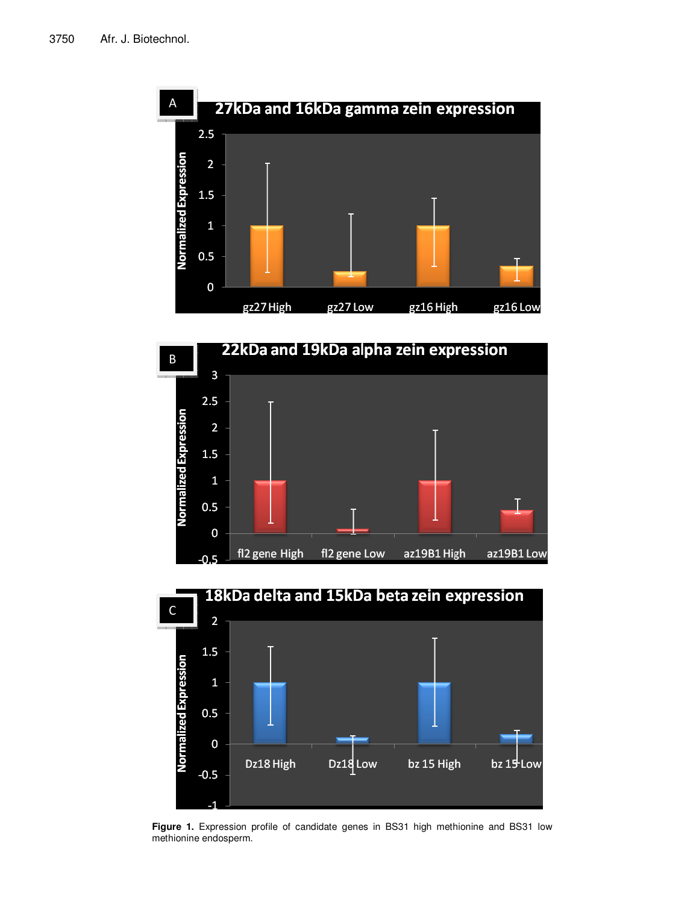





**Figure 1.** Expression profile of candidate genes in BS31 high methionine and BS31 low methionine endosperm.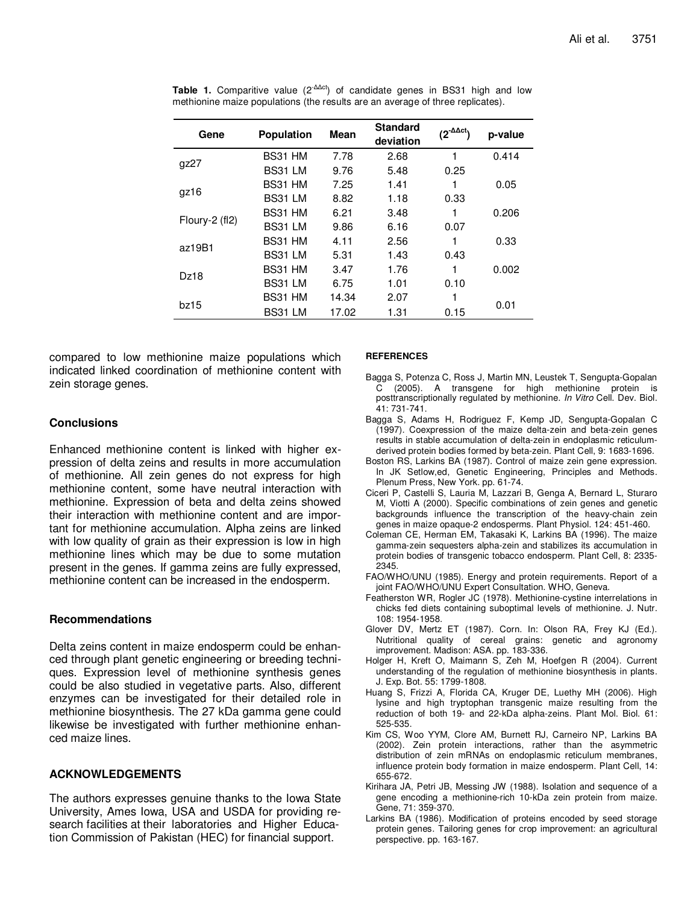| Gene             | <b>Population</b> | <b>Mean</b> | <b>Standard</b><br>deviation | $(2^{-\Delta\Delta ct})$ | p-value |
|------------------|-------------------|-------------|------------------------------|--------------------------|---------|
| gz27             | BS31 HM           | 7.78        | 2.68                         | 1                        | 0.414   |
|                  | BS31 LM           | 9.76        | 5.48                         | 0.25                     |         |
| gz16             | BS31 HM           | 7.25        | 1.41                         | 1                        | 0.05    |
|                  | BS31 LM           | 8.82        | 1.18                         | 0.33                     |         |
| Floury-2 $(f 2)$ | BS31 HM           | 6.21        | 3.48                         | 1                        | 0.206   |
|                  | BS31 LM           | 9.86        | 6.16                         | 0.07                     |         |
| az19B1           | BS31 HM           | 4.11        | 2.56                         | 1                        | 0.33    |
|                  | BS31 LM           | 5.31        | 1.43                         | 0.43                     |         |
| Dz18             | BS31 HM           | 3.47        | 1.76                         | 1                        | 0.002   |
|                  | BS31 LM           | 6.75        | 1.01                         | 0.10                     |         |
| bz15             | BS31 HM           | 14.34       | 2.07                         | 1                        | 0.01    |
|                  | BS31 LM           | 17.02       | 1.31                         | 0.15                     |         |

Table 1. Comparitive value (2<sup>-∆∆ct</sup>) of candidate genes in BS31 high and low methionine maize populations (the results are an average of three replicates).

compared to low methionine maize populations which indicated linked coordination of methionine content with zein storage genes.

# **Conclusions**

Enhanced methionine content is linked with higher expression of delta zeins and results in more accumulation of methionine. All zein genes do not express for high methionine content, some have neutral interaction with methionine. Expression of beta and delta zeins showed their interaction with methionine content and are important for methionine accumulation. Alpha zeins are linked with low quality of grain as their expression is low in high methionine lines which may be due to some mutation present in the genes. If gamma zeins are fully expressed, methionine content can be increased in the endosperm.

## **Recommendations**

Delta zeins content in maize endosperm could be enhanced through plant genetic engineering or breeding techniques. Expression level of methionine synthesis genes could be also studied in vegetative parts. Also, different enzymes can be investigated for their detailed role in methionine biosynthesis. The 27 kDa gamma gene could likewise be investigated with further methionine enhanced maize lines.

## **ACKNOWLEDGEMENTS**

The authors expresses genuine thanks to the Iowa State University, Ames Iowa, USA and USDA for providing research facilities at their laboratories and Higher Education Commission of Pakistan (HEC) for financial support.

#### **REFERENCES**

- Bagga S, Potenza C, Ross J, Martin MN, Leustek T, Sengupta-Gopalan C (2005). A transgene for high methionine protein is posttranscriptionally regulated by methionine. In Vitro Cell. Dev. Biol. 41: 731-741.
- Bagga S, Adams H, Rodriguez F, Kemp JD, Sengupta-Gopalan C (1997). Coexpression of the maize delta-zein and beta-zein genes results in stable accumulation of delta-zein in endoplasmic reticulumderived protein bodies formed by beta-zein. Plant Cell, 9: 1683-1696.
- Boston RS, Larkins BA (1987). Control of maize zein gene expression. In JK Setlow,ed, Genetic Engineering, Principles and Methods. Plenum Press, New York. pp. 61-74.
- Ciceri P, Castelli S, Lauria M, Lazzari B, Genga A, Bernard L, Sturaro M, Viotti A (2000). Specific combinations of zein genes and genetic backgrounds influence the transcription of the heavy-chain zein genes in maize opaque-2 endosperms. Plant Physiol. 124: 451-460.
- Coleman CE, Herman EM, Takasaki K, Larkins BA (1996). The maize gamma-zein sequesters alpha-zein and stabilizes its accumulation in protein bodies of transgenic tobacco endosperm. Plant Cell, 8: 2335- 2345.
- FAO/WHO/UNU (1985). Energy and protein requirements. Report of a joint FAO/WHO/UNU Expert Consultation. WHO, Geneva.
- Featherston WR, Rogler JC (1978). Methionine-cystine interrelations in chicks fed diets containing suboptimal levels of methionine. J. Nutr. 108: 1954-1958.
- Glover DV, Mertz ET (1987). Corn. In: Olson RA, Frey KJ (Ed.). Nutritional quality of cereal grains: genetic and agronomy improvement. Madison: ASA. pp. 183-336.
- Holger H, Kreft O, Maimann S, Zeh M, Hoefgen R (2004). Current understanding of the regulation of methionine biosynthesis in plants. J. Exp. Bot. 55: 1799-1808.
- Huang S, Frizzi A, Florida CA, Kruger DE, Luethy MH (2006). High lysine and high tryptophan transgenic maize resulting from the reduction of both 19- and 22-kDa alpha-zeins. Plant Mol. Biol. 61: 525-535.
- Kim CS, Woo YYM, Clore AM, Burnett RJ, Carneiro NP, Larkins BA (2002). Zein protein interactions, rather than the asymmetric distribution of zein mRNAs on endoplasmic reticulum membranes, influence protein body formation in maize endosperm. Plant Cell, 14: 655-672.
- Kirihara JA, Petri JB, Messing JW (1988). Isolation and sequence of a gene encoding a methionine-rich 10-kDa zein protein from maize. Gene, 71: 359-370.
- Larkins BA (1986). Modification of proteins encoded by seed storage protein genes. Tailoring genes for crop improvement: an agricultural perspective. pp. 163-167.